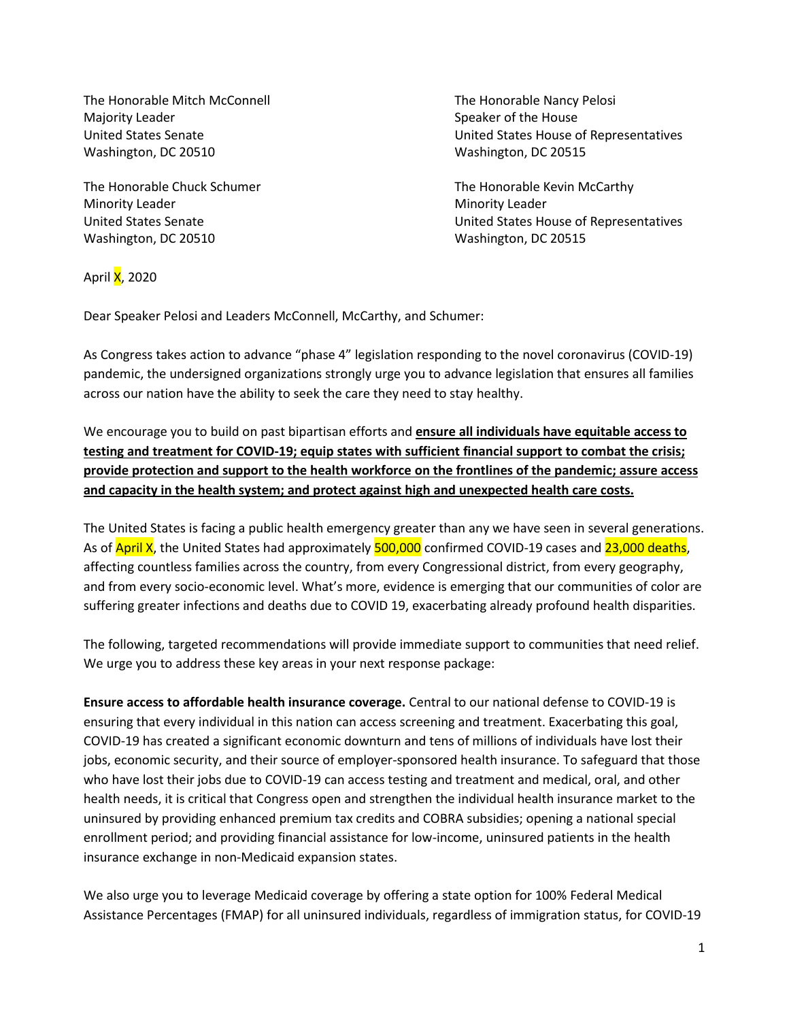The Honorable Mitch McConnell The Honorable Nancy Pelosi Majority Leader National According to the House Speaker of the House Speaker of the House Washington, DC 20510 Washington, DC 20515

Minority Leader **Minority Leader** Minority Leader Washington, DC 20510 Washington, DC 20515

United States Senate United States House of Representatives

The Honorable Chuck Schumer The Honorable Kevin McCarthy United States Senate United States House of Representatives

April **X**, 2020

Dear Speaker Pelosi and Leaders McConnell, McCarthy, and Schumer:

As Congress takes action to advance "phase 4" legislation responding to the novel coronavirus (COVID-19) pandemic, the undersigned organizations strongly urge you to advance legislation that ensures all families across our nation have the ability to seek the care they need to stay healthy.

We encourage you to build on past bipartisan efforts and **ensure all individuals have equitable access to testing and treatment for COVID-19; equip states with sufficient financial support to combat the crisis; provide protection and support to the health workforce on the frontlines of the pandemic; assure access and capacity in the health system; and protect against high and unexpected health care costs.** 

The United States is facing a public health emergency greater than any we have seen in several generations. As of April X, the United States had approximately 500,000 confirmed COVID-19 cases and 23,000 deaths, affecting countless families across the country, from every Congressional district, from every geography, and from every socio-economic level. What's more, evidence is emerging that our communities of color are suffering greater infections and deaths due to COVID 19, exacerbating already profound health disparities.

The following, targeted recommendations will provide immediate support to communities that need relief. We urge you to address these key areas in your next response package:

**Ensure access to affordable health insurance coverage.** Central to our national defense to COVID-19 is ensuring that every individual in this nation can access screening and treatment. Exacerbating this goal, COVID-19 has created a significant economic downturn and tens of millions of individuals have lost their jobs, economic security, and their source of employer-sponsored health insurance. To safeguard that those who have lost their jobs due to COVID-19 can access testing and treatment and medical, oral, and other health needs, it is critical that Congress open and strengthen the individual health insurance market to the uninsured by providing enhanced premium tax credits and COBRA subsidies; opening a national special enrollment period; and providing financial assistance for low-income, uninsured patients in the health insurance exchange in non-Medicaid expansion states.

We also urge you to leverage Medicaid coverage by offering a state option for 100% Federal Medical Assistance Percentages (FMAP) for all uninsured individuals, regardless of immigration status, for COVID-19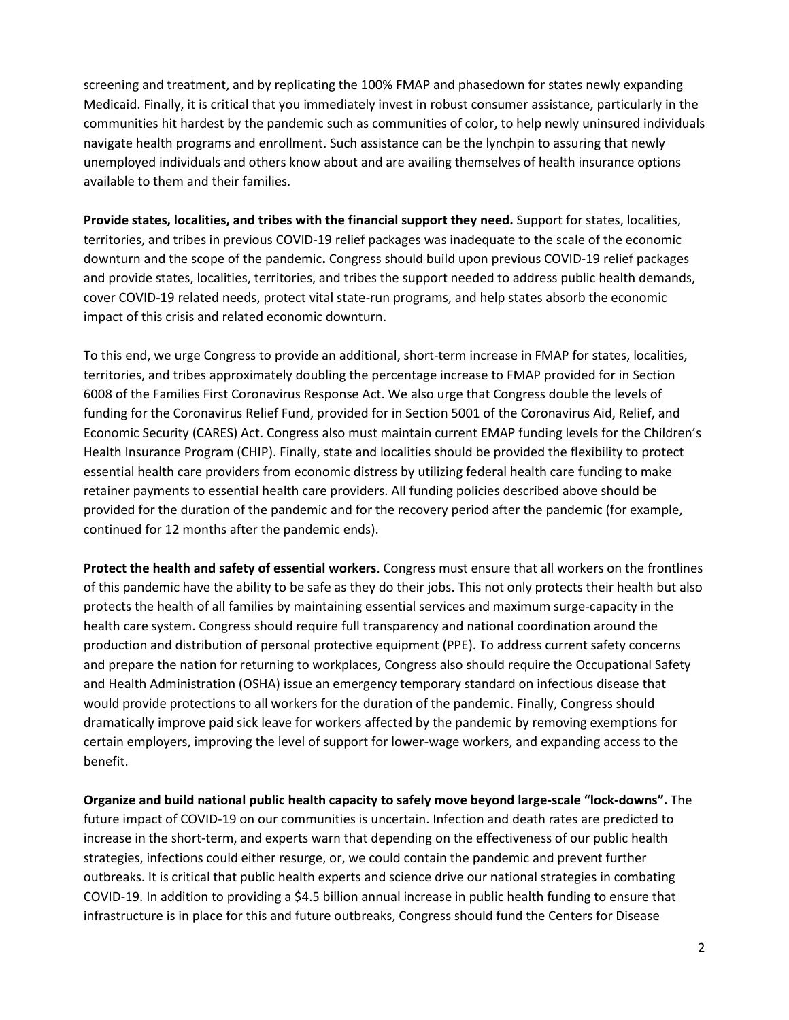screening and treatment, and by replicating the 100% FMAP and phasedown for states newly expanding Medicaid. Finally, it is critical that you immediately invest in robust consumer assistance, particularly in the communities hit hardest by the pandemic such as communities of color, to help newly uninsured individuals navigate health programs and enrollment. Such assistance can be the lynchpin to assuring that newly unemployed individuals and others know about and are availing themselves of health insurance options available to them and their families.

**Provide states, localities, and tribes with the financial support they need.** Support for states, localities, territories, and tribes in previous COVID-19 relief packages was inadequate to the scale of the economic downturn and the scope of the pandemic**.** Congress should build upon previous COVID-19 relief packages and provide states, localities, territories, and tribes the support needed to address public health demands, cover COVID-19 related needs, protect vital state-run programs, and help states absorb the economic impact of this crisis and related economic downturn.

To this end, we urge Congress to provide an additional, short-term increase in FMAP for states, localities, territories, and tribes approximately doubling the percentage increase to FMAP provided for in Section 6008 of the Families First Coronavirus Response Act. We also urge that Congress double the levels of funding for the Coronavirus Relief Fund, provided for in Section 5001 of the Coronavirus Aid, Relief, and Economic Security (CARES) Act. Congress also must maintain current EMAP funding levels for the Children's Health Insurance Program (CHIP). Finally, state and localities should be provided the flexibility to protect essential health care providers from economic distress by utilizing federal health care funding to make retainer payments to essential health care providers. All funding policies described above should be provided for the duration of the pandemic and for the recovery period after the pandemic (for example, continued for 12 months after the pandemic ends).

**Protect the health and safety of essential workers**. Congress must ensure that all workers on the frontlines of this pandemic have the ability to be safe as they do their jobs. This not only protects their health but also protects the health of all families by maintaining essential services and maximum surge-capacity in the health care system. Congress should require full transparency and national coordination around the production and distribution of personal protective equipment (PPE). To address current safety concerns and prepare the nation for returning to workplaces, Congress also should require the Occupational Safety and Health Administration (OSHA) issue an emergency temporary standard on infectious disease that would provide protections to all workers for the duration of the pandemic. Finally, Congress should dramatically improve paid sick leave for workers affected by the pandemic by removing exemptions for certain employers, improving the level of support for lower-wage workers, and expanding access to the benefit.

**Organize and build national public health capacity to safely move beyond large-scale "lock-downs".** The future impact of COVID-19 on our communities is uncertain. Infection and death rates are predicted to increase in the short-term, and experts warn that depending on the effectiveness of our public health strategies, infections could either resurge, or, we could contain the pandemic and prevent further outbreaks. It is critical that public health experts and science drive our national strategies in combating COVID-19. In addition to providing a \$4.5 billion annual increase in public health funding to ensure that infrastructure is in place for this and future outbreaks, Congress should fund the Centers for Disease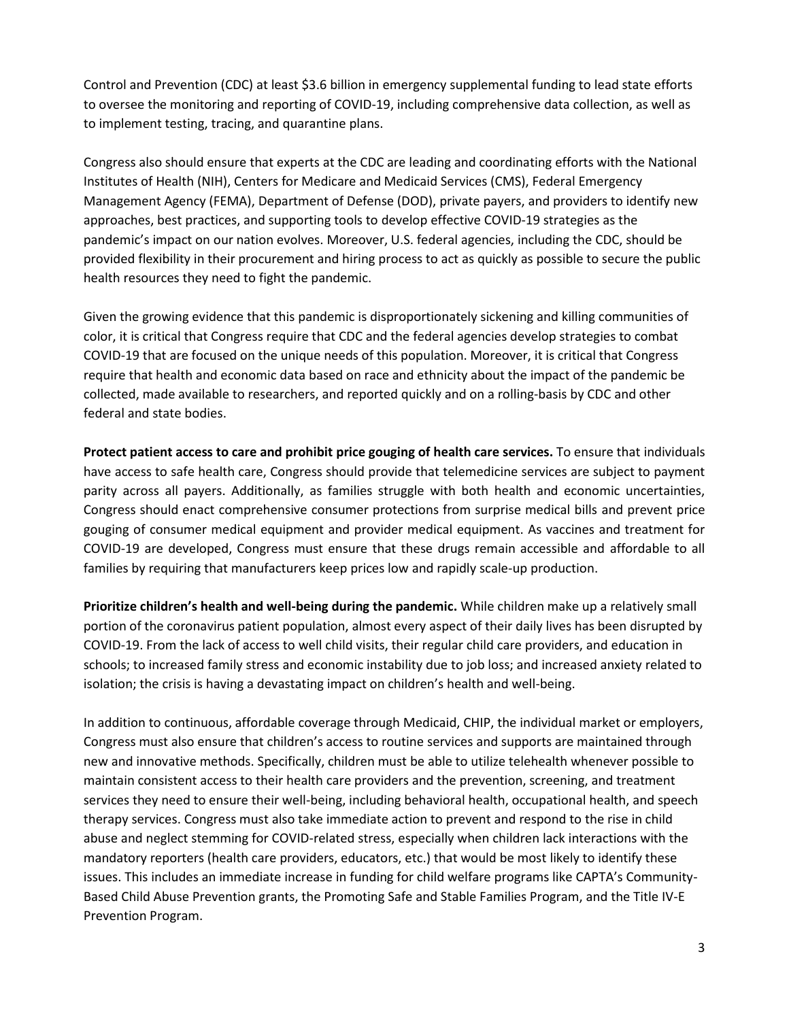Control and Prevention (CDC) at least \$3.6 billion in emergency supplemental funding to lead state efforts to oversee the monitoring and reporting of COVID-19, including comprehensive data collection, as well as to implement testing, tracing, and quarantine plans.

Congress also should ensure that experts at the CDC are leading and coordinating efforts with the National Institutes of Health (NIH), Centers for Medicare and Medicaid Services (CMS), Federal Emergency Management Agency (FEMA), Department of Defense (DOD), private payers, and providers to identify new approaches, best practices, and supporting tools to develop effective COVID-19 strategies as the pandemic's impact on our nation evolves. Moreover, U.S. federal agencies, including the CDC, should be provided flexibility in their procurement and hiring process to act as quickly as possible to secure the public health resources they need to fight the pandemic.

Given the growing evidence that this pandemic is disproportionately sickening and killing communities of color, it is critical that Congress require that CDC and the federal agencies develop strategies to combat COVID-19 that are focused on the unique needs of this population. Moreover, it is critical that Congress require that health and economic data based on race and ethnicity about the impact of the pandemic be collected, made available to researchers, and reported quickly and on a rolling-basis by CDC and other federal and state bodies.

**Protect patient access to care and prohibit price gouging of health care services.** To ensure that individuals have access to safe health care, Congress should provide that telemedicine services are subject to payment parity across all payers. Additionally, as families struggle with both health and economic uncertainties, Congress should enact comprehensive consumer protections from surprise medical bills and prevent price gouging of consumer medical equipment and provider medical equipment. As vaccines and treatment for COVID-19 are developed, Congress must ensure that these drugs remain accessible and affordable to all families by requiring that manufacturers keep prices low and rapidly scale-up production.

**Prioritize children's health and well-being during the pandemic.** While children make up a relatively small portion of the coronavirus patient population, almost every aspect of their daily lives has been disrupted by COVID-19. From the lack of access to well child visits, their regular child care providers, and education in schools; to increased family stress and economic instability due to job loss; and increased anxiety related to isolation; the crisis is having a devastating impact on children's health and well-being.

In addition to continuous, affordable coverage through Medicaid, CHIP, the individual market or employers, Congress must also ensure that children's access to routine services and supports are maintained through new and innovative methods. Specifically, children must be able to utilize telehealth whenever possible to maintain consistent access to their health care providers and the prevention, screening, and treatment services they need to ensure their well-being, including behavioral health, occupational health, and speech therapy services. Congress must also take immediate action to prevent and respond to the rise in child abuse and neglect stemming for COVID-related stress, especially when children lack interactions with the mandatory reporters (health care providers, educators, etc.) that would be most likely to identify these issues. This includes an immediate increase in funding for child welfare programs like CAPTA's Community-Based Child Abuse Prevention grants, the Promoting Safe and Stable Families Program, and the Title IV-E Prevention Program.